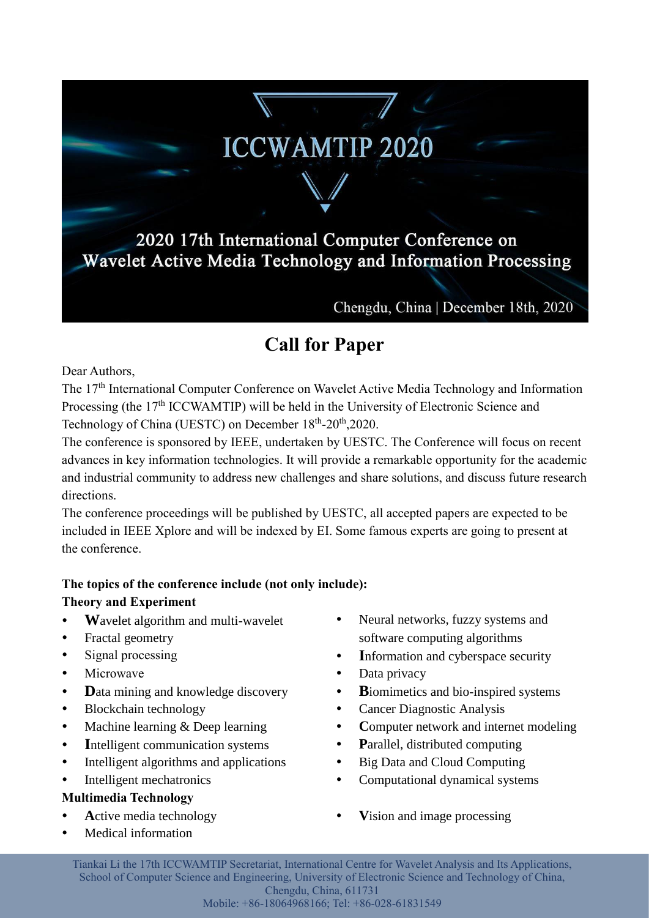# **ICCWAMTIP 2020**

2020 17th International Computer Conference on Wavelet Active Media Technology and Information Processing

Chengdu, China | December 18th, 2020

# **Call for Paper**

Dear Authors,

The 17<sup>th</sup> International Computer Conference on Wavelet Active Media Technology and Information Processing (the 17<sup>th</sup> ICCWAMTIP) will be held in the University of Electronic Science and Technology of China (UESTC) on December 18<sup>th</sup>-20<sup>th</sup>,2020.

The conference is sponsored by IEEE, undertaken by UESTC. The Conference will focus on recent advances in key information technologies. It will provide a remarkable opportunity for the academic and industrial community to address new challenges and share solutions, and discuss future research directions.

The conference proceedings will be published by UESTC, all accepted papers are expected to be included in IEEE Xplore and will be indexed by EI. Some famous experts are going to present at the conference.

## **The topics of the conference include (not only include):**

#### **Theory and Experiment**

- **W**avelet algorithm and multi-wavelet
- Fractal geometry
- Signal processing
- Microwave
- **D**ata mining and knowledge discovery
- Blockchain technology
- Machine learning & Deep learning
- Intelligent communication systems
- Intelligent algorithms and applications
- Intelligent mechatronics

## **Multimedia Technology**

- **Active media technology**
- Medical information
- Neural networks, fuzzy systems and software computing algorithms
- Information and cyberspace security
- Data privacy
- **B**iomimetics and bio-inspired systems
- Cancer Diagnostic Analysis
- Computer network and internet modeling
- **P**arallel, distributed computing
- Big Data and Cloud Computing
- Computational dynamical systems
- **V**ision and image processing

Tiankai Li the 17th ICCWAMTIP Secretariat, International Centre for Wavelet Analysis and Its Applications, School of Computer Science and Engineering, University of Electronic Science and Technology of China, Chengdu, China, 611731

Mobile: +86-18064968166; Tel: +86-028-61831549